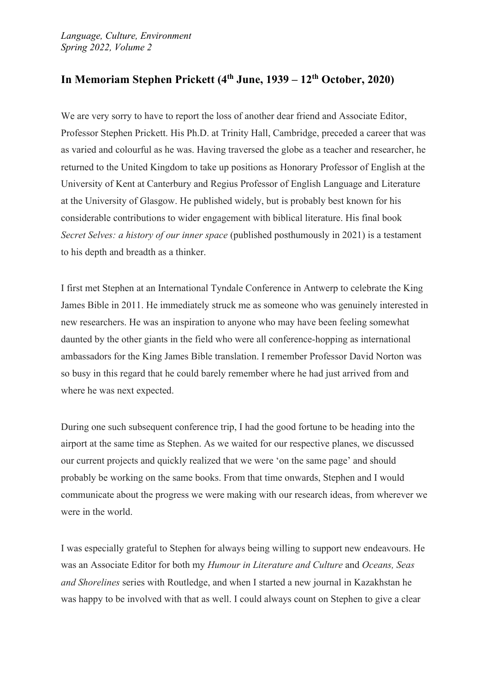## **In Memoriam Stephen Prickett (4th June, 1939 – 12th October, 2020)**

We are very sorry to have to report the loss of another dear friend and Associate Editor, Professor Stephen Prickett. His Ph.D. at Trinity Hall, Cambridge, preceded a career that was as varied and colourful as he was. Having traversed the globe as a teacher and researcher, he returned to the United Kingdom to take up positions as Honorary Professor of English at the University of Kent at Canterbury and Regius Professor of English Language and Literature at the University of Glasgow. He published widely, but is probably best known for his considerable contributions to wider engagement with biblical literature. His final book *Secret Selves: a history of our inner space* (published posthumously in 2021) is a testament to his depth and breadth as a thinker.

I first met Stephen at an International Tyndale Conference in Antwerp to celebrate the King James Bible in 2011. He immediately struck me as someone who was genuinely interested in new researchers. He was an inspiration to anyone who may have been feeling somewhat daunted by the other giants in the field who were all conference-hopping as international ambassadors for the King James Bible translation. I remember Professor David Norton was so busy in this regard that he could barely remember where he had just arrived from and where he was next expected.

During one such subsequent conference trip, I had the good fortune to be heading into the airport at the same time as Stephen. As we waited for our respective planes, we discussed our current projects and quickly realized that we were 'on the same page' and should probably be working on the same books. From that time onwards, Stephen and I would communicate about the progress we were making with our research ideas, from wherever we were in the world.

I was especially grateful to Stephen for always being willing to support new endeavours. He was an Associate Editor for both my *Humour in Literature and Culture* and *Oceans, Seas and Shorelines* series with Routledge, and when I started a new journal in Kazakhstan he was happy to be involved with that as well. I could always count on Stephen to give a clear